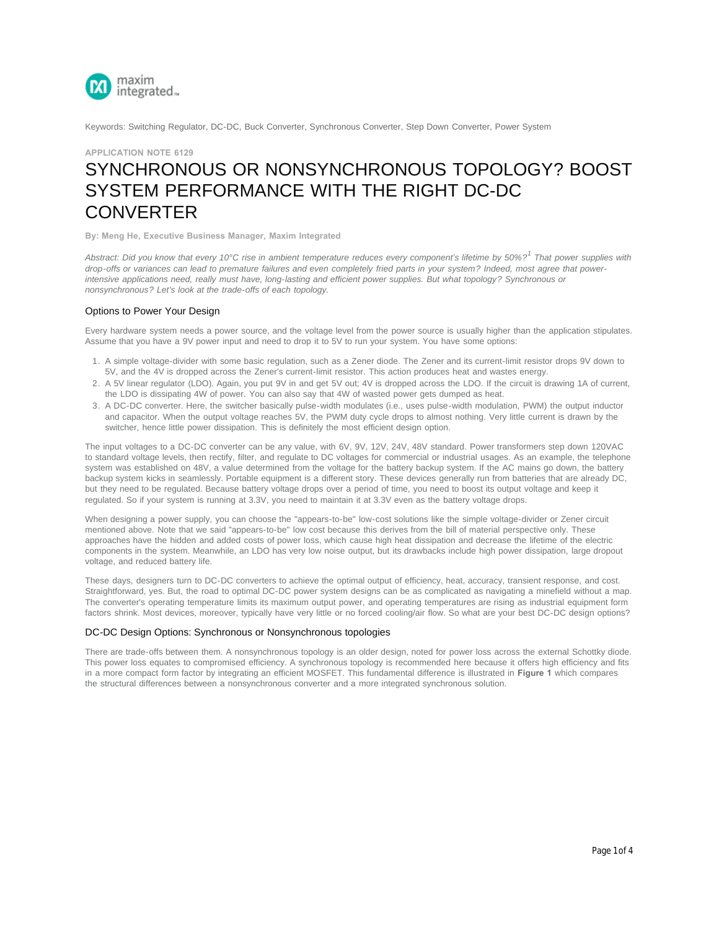

Keywords: Switching Regulator, DC-DC, Buck Converter, Synchronous Converter, Step Down Converter, Power System

# **APPLICATION NOTE 6129** SYNCHRONOUS OR NONSYNCHRONOUS TOPOLOGY? BOOST [SYSTEM PE](https://www.maximintegrated.com/en/)RFORMANCE WITH THE RIGHT DC-DC **CONVERTER**

**By: Meng He, Executive Business Manager, Maxim Integrated**

*Abstract: Did you know that every 10°C rise in ambient temperature reduces every component's lifetime by 50%? That power supplies with 1 drop-offs or variances can lead to premature failures and even completely fried parts in your system? Indeed, most agree that powerintensive applications need, really must have, long-lasting and efficient power supplies. But what topology? Synchronous or nonsynchronous? Let's look at the trade-offs of each topology.* 

## Options to Power Your Design

Every hardware system needs a power source, and the voltage level from the power source is usually higher than the application stipulates. Assume that you have a 9V power input and need to drop it to 5V to run your system. You have some options:

- 1. A simple voltage-divider with some basic regulation, such as a Zener diode. The Zener and its current-limit resistor drops 9V down to 5V, and the 4V is dropped across the Zener's current-limit resistor. This action produces heat and wastes energy.
- 2. A 5V linear regulator (LDO). Again, you put 9V in and get 5V out; 4V is dropped across the LDO. If the circuit is drawing 1A of current, the LDO is dissipating 4W of power. You can also say that 4W of wasted power gets dumped as heat.
- 3. A DC-DC converter. Here, the switcher basically pulse-width modulates (i.e., uses pulse-width modulation, PWM) the output inductor and capacitor. When the output voltage reaches 5V, the PWM duty cycle drops to almost nothing. Very little current is drawn by the switcher, hence little power dissipation. This is definitely the most efficient design option.

The input voltages to a DC-DC converter can be any value, with 6V, 9V, 12V, 24V, 48V standard. Power transformers step down 120VAC to standard voltage levels, then rectify, filter, and regulate to DC voltages for commercial or industrial usages. As an example, the telephone system was established on 48V, a value determined from the voltage for the battery backup system. If the AC mains go down, the battery backup system kicks in seamlessly. Portable equipment is a different story. These devices generally run from batteries that are already DC, but they need to be regulated. Because battery voltage drops over a period of time, you need to boost its output voltage and keep it regulated. So if your system is running at 3.3V, you need to maintain it at 3.3V even as the battery voltage drops.

When designing a power supply, you can choose the "appears-to-be" low-cost solutions like the simple voltage-divider or Zener circuit mentioned above. Note that we said "appears-to-be" low cost because this derives from the bill of material perspective only. These approaches have the hidden and added costs of power loss, which cause high heat dissipation and decrease the lifetime of the electric components in the system. Meanwhile, an LDO has very low noise output, but its drawbacks include high power dissipation, large dropout voltage, and reduced battery life.

These days, designers turn to DC-DC converters to achieve the optimal output of efficiency, heat, accuracy, transient response, and cost. Straightforward, yes. But, the road to optimal DC-DC power system designs can be as complicated as navigating a minefield without a map. The converter's operating temperature limits its maximum output power, and operating temperatures are rising as industrial equipment form factors shrink. Most devices, moreover, typically have very little or no forced cooling/air flow. So what are your best DC-DC design options?

### DC-DC Design Options: Synchronous or Nonsynchronous topologies

There are trade-offs between them. A nonsynchronous topology is an older design, noted for power loss across the external Schottky diode. This power loss equates to compromised efficiency. A synchronous topology is recommended here because it offers high efficiency and fits in a more compact form factor by integrating an efficient MOSFET. This fundamental difference is illustrated in **Figure 1** which compares the structural differences between a nonsynchronous converter and a more integrated synchronous solution.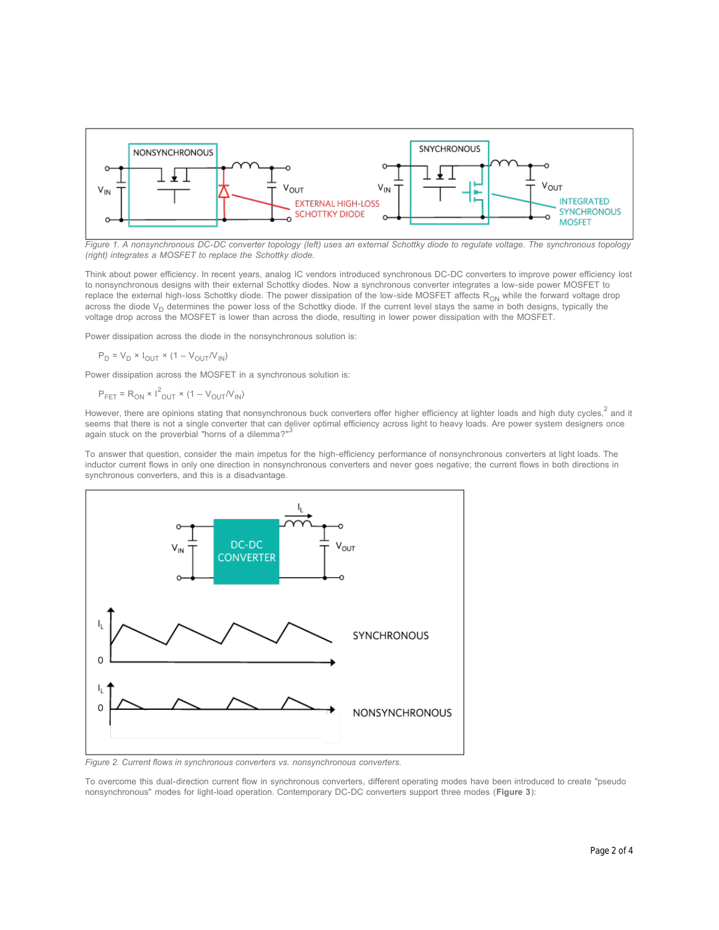

*Figure 1. A nonsynchronous DC-DC converter topology (left) uses an external Schottky diode to regulate voltage. The synchronous topology (right) integrates a MOSFET to replace the Schottky diode.*

Think about power efficiency. In recent years, analog IC vendors introduced synchronous DC-DC converters to improve power efficiency lost to nonsynchronous designs with their external Schottky diodes. Now a synchronous converter integrates a low-side power MOSFET to replace the external high-loss Schottky diode. The power dissipation of the low-side MOSFET affects R<sub>ON</sub> while the forward voltage drop across the diode V<sub>D</sub> determines the power loss of the Schottky diode. If the current level stays the same in both designs, typically the voltage drop across the MOSFET is lower than across the diode, resulting in lower power dissipation with the MOSFET.

Power dissipation across the diode in the nonsynchronous solution is:

$$
P_D = V_D \times I_{OUT} \times (1 - V_{OUT}/V_{IN})
$$

Power dissipation across the MOSFET in a synchronous solution is:

 $P_{FET} = R_{ON} \times I_{OUT}^2 \times (1 - V_{OUT}/V_{IN})$ 

However, there are opinions stating that nonsynchronous buck converters offer higher efficiency at lighter loads and high duty cycles,<sup>2</sup> and it seems that there is not a single converter that can deliver optimal efficiency across light to heavy loads. Are power system designers once<br>2021 attack as the assumbial "heave of a dilemase on" again stuck on the proverbial "horns of a dilemma?"

To answer that question, consider the main impetus for the high-efficiency performance of nonsynchronous converters at light loads. The inductor current flows in only one direction in nonsynchronous converters and never goes negative; the current flows in both directions in synchronous converters, and this is a disadvantage.



*Figure 2. Current flows in synchronous converters vs. nonsynchronous converters.*

To overcome this dual-direction current flow in synchronous converters, different operating modes have been introduced to create "pseudo nonsynchronous" modes for light-load operation. Contemporary DC-DC converters support three modes (**Figure 3**):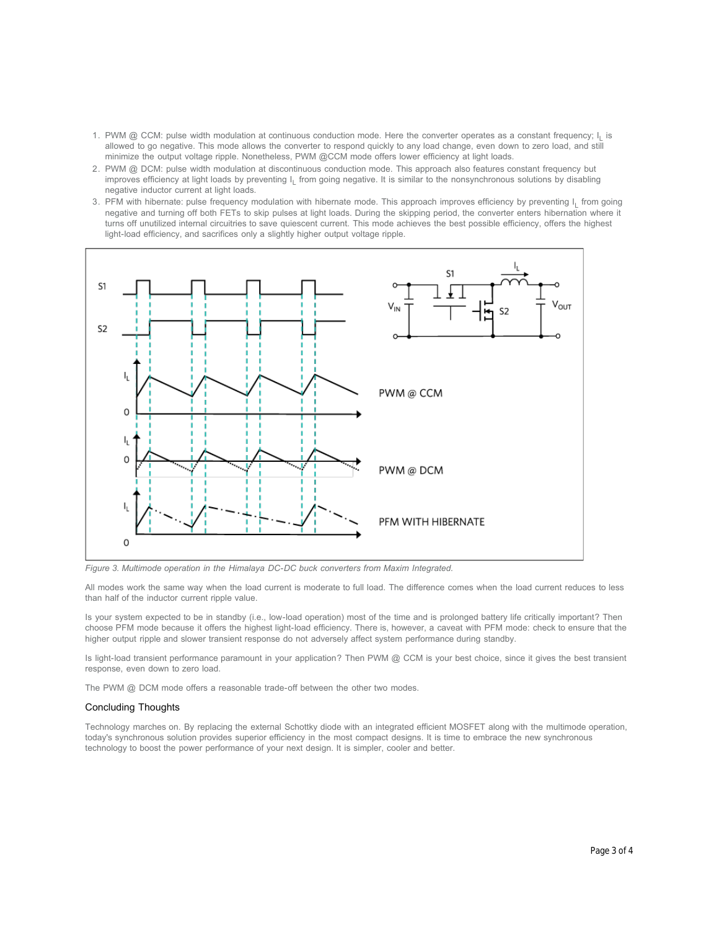- 1. PWM @ CCM: pulse width modulation at continuous conduction mode. Here the converter operates as a constant frequency; l<sub>L</sub> is allowed to go negative. This mode allows the converter to respond quickly to any load change, even down to zero load, and still minimize the output voltage ripple. Nonetheless, PWM @CCM mode offers lower efficiency at light loads.
- 2. PWM @ DCM: pulse width modulation at discontinuous conduction mode. This approach also features constant frequency but improves efficiency at light loads by preventing  $I_L$  from going negative. It is similar to the nonsynchronous solutions by disabling negative inductor current at light loads.
- 3. PFM with hibernate: pulse frequency modulation with hibernate mode. This approach improves efficiency by preventing l<sub>L</sub> from going negative and turning off both FETs to skip pulses at light loads. During the skipping period, the converter enters hibernation where it turns off unutilized internal circuitries to save quiescent current. This mode achieves the best possible efficiency, offers the highest light-load efficiency, and sacrifices only a slightly higher output voltage ripple.



*Figure 3. Multimode operation in the Himalaya DC-DC buck converters from Maxim Integrated.*

All modes work the same way when the load current is moderate to full load. The difference comes when the load current reduces to less than half of the inductor current ripple value.

Is your system expected to be in standby (i.e., low-load operation) most of the time and is prolonged battery life critically important? Then choose PFM mode because it offers the highest light-load efficiency. There is, however, a caveat with PFM mode: check to ensure that the higher output ripple and slower transient response do not adversely affect system performance during standby.

Is light-load transient performance paramount in your application? Then PWM @ CCM is your best choice, since it gives the best transient response, even down to zero load.

The PWM @ DCM mode offers a reasonable trade-off between the other two modes.

### Concluding Thoughts

Technology marches on. By replacing the external Schottky diode with an integrated efficient MOSFET along with the multimode operation, today's synchronous solution provides superior efficiency in the most compact designs. It is time to embrace the new synchronous technology to boost the power performance of your next design. It is simpler, cooler and better.